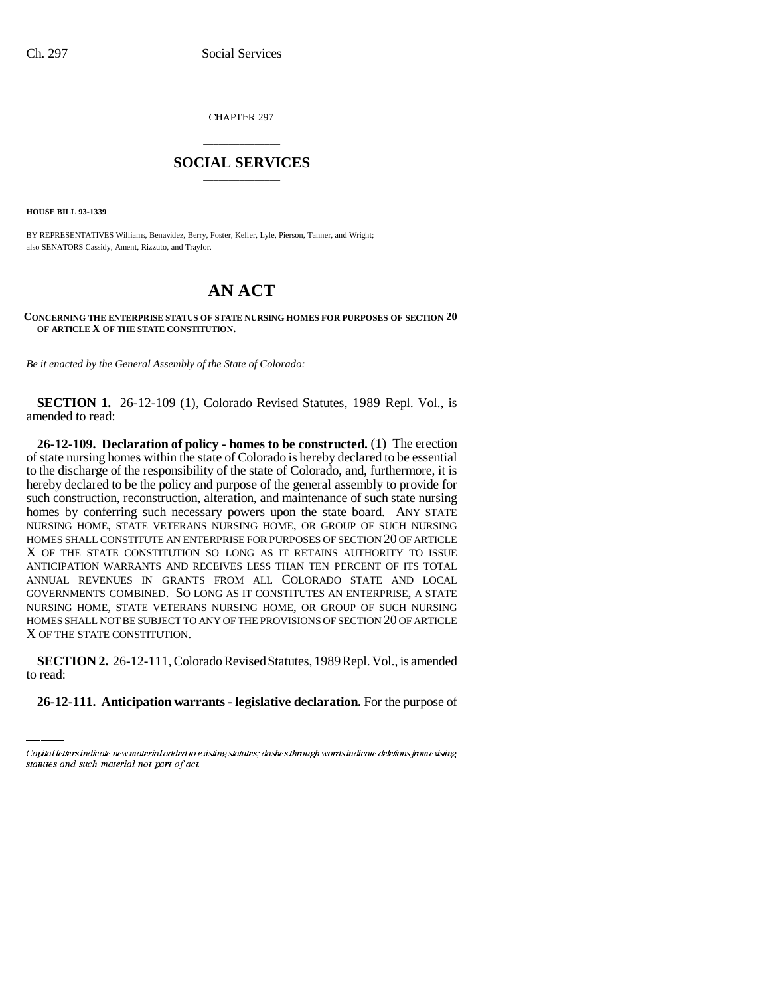CHAPTER 297

## \_\_\_\_\_\_\_\_\_\_\_\_\_\_\_ **SOCIAL SERVICES** \_\_\_\_\_\_\_\_\_\_\_\_\_\_\_

**HOUSE BILL 93-1339**

BY REPRESENTATIVES Williams, Benavidez, Berry, Foster, Keller, Lyle, Pierson, Tanner, and Wright; also SENATORS Cassidy, Ament, Rizzuto, and Traylor.

## **AN ACT**

## **CONCERNING THE ENTERPRISE STATUS OF STATE NURSING HOMES FOR PURPOSES OF SECTION 20 OF ARTICLE X OF THE STATE CONSTITUTION.**

*Be it enacted by the General Assembly of the State of Colorado:*

**SECTION 1.** 26-12-109 (1), Colorado Revised Statutes, 1989 Repl. Vol., is amended to read:

**26-12-109. Declaration of policy - homes to be constructed.** (1) The erection of state nursing homes within the state of Colorado is hereby declared to be essential to the discharge of the responsibility of the state of Colorado, and, furthermore, it is hereby declared to be the policy and purpose of the general assembly to provide for such construction, reconstruction, alteration, and maintenance of such state nursing homes by conferring such necessary powers upon the state board. ANY STATE NURSING HOME, STATE VETERANS NURSING HOME, OR GROUP OF SUCH NURSING HOMES SHALL CONSTITUTE AN ENTERPRISE FOR PURPOSES OF SECTION 20 OF ARTICLE X OF THE STATE CONSTITUTION SO LONG AS IT RETAINS AUTHORITY TO ISSUE ANTICIPATION WARRANTS AND RECEIVES LESS THAN TEN PERCENT OF ITS TOTAL ANNUAL REVENUES IN GRANTS FROM ALL COLORADO STATE AND LOCAL GOVERNMENTS COMBINED. SO LONG AS IT CONSTITUTES AN ENTERPRISE, A STATE NURSING HOME, STATE VETERANS NURSING HOME, OR GROUP OF SUCH NURSING HOMES SHALL NOT BE SUBJECT TO ANY OF THE PROVISIONS OF SECTION 20 OF ARTICLE X OF THE STATE CONSTITUTION.

**SECTION 2.** 26-12-111, Colorado Revised Statutes, 1989 Repl. Vol., is amended to read:

**26-12-111. Anticipation warrants - legislative declaration.** For the purpose of

Capital letters indicate new material added to existing statutes; dashes through words indicate deletions from existing statutes and such material not part of act.